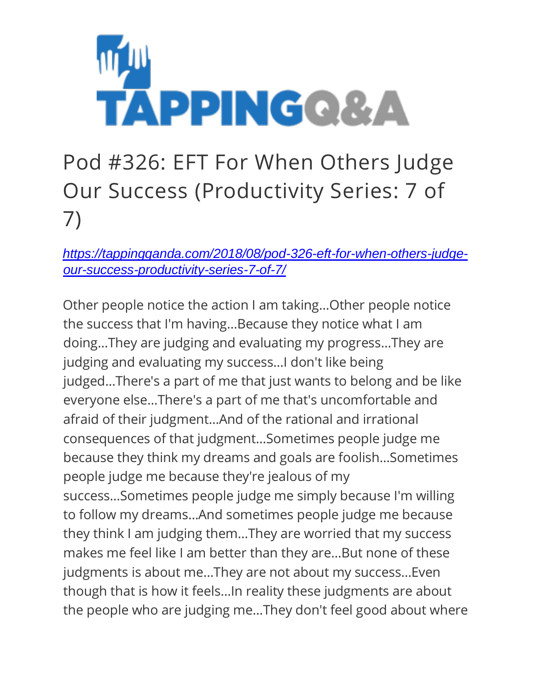

## Pod #326: EFT For When Others Judge Our Success (Productivity Series: 7 of 7)

*[https://tappingqanda.com/2018/08/pod-326-eft-for-when-others-judge](https://tappingqanda.com/2018/08/pod-326-eft-for-when-others-judge-our-success-productivity-series-7-of-7/)[our-success-productivity-series-7-of-7/](https://tappingqanda.com/2018/08/pod-326-eft-for-when-others-judge-our-success-productivity-series-7-of-7/)*

Other people notice the action I am taking…Other people notice the success that I'm having…Because they notice what I am doing…They are judging and evaluating my progress…They are judging and evaluating my success…I don't like being judged…There's a part of me that just wants to belong and be like everyone else…There's a part of me that's uncomfortable and afraid of their judgment…And of the rational and irrational consequences of that judgment…Sometimes people judge me because they think my dreams and goals are foolish…Sometimes people judge me because they're jealous of my success…Sometimes people judge me simply because I'm willing to follow my dreams…And sometimes people judge me because they think I am judging them…They are worried that my success makes me feel like I am better than they are…But none of these judgments is about me…They are not about my success…Even though that is how it feels…In reality these judgments are about the people who are judging me…They don't feel good about where